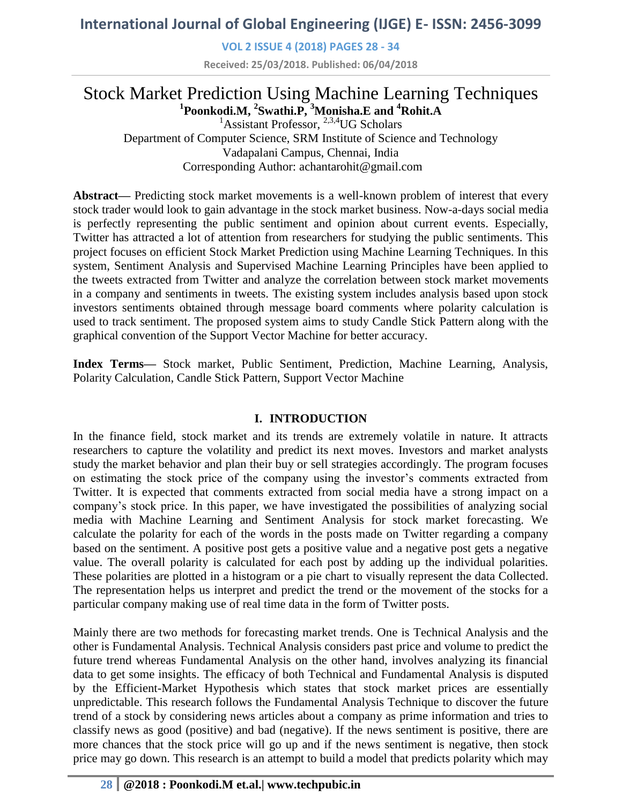**VOL 2 ISSUE 4 (2018) PAGES 28 - 34**

**Received: 25/03/2018. Published: 06/04/2018**

# Stock Market Prediction Using Machine Learning Techniques **1 Poonkodi.M, <sup>2</sup> Swathi.P, <sup>3</sup>Monisha.E and <sup>4</sup>Rohit.A**

<sup>1</sup>Assistant Professor,  $^{2,3,4}$ UG Scholars Department of Computer Science, SRM Institute of Science and Technology Vadapalani Campus, Chennai, India Corresponding Author: achantarohit@gmail.com

**Abstract—** Predicting stock market movements is a well-known problem of interest that every stock trader would look to gain advantage in the stock market business. Now-a-days social media is perfectly representing the public sentiment and opinion about current events. Especially, Twitter has attracted a lot of attention from researchers for studying the public sentiments. This project focuses on efficient Stock Market Prediction using Machine Learning Techniques. In this system, Sentiment Analysis and Supervised Machine Learning Principles have been applied to the tweets extracted from Twitter and analyze the correlation between stock market movements in a company and sentiments in tweets. The existing system includes analysis based upon stock investors sentiments obtained through message board comments where polarity calculation is used to track sentiment. The proposed system aims to study Candle Stick Pattern along with the graphical convention of the Support Vector Machine for better accuracy.

**Index Terms—** Stock market, Public Sentiment, Prediction, Machine Learning, Analysis, Polarity Calculation, Candle Stick Pattern, Support Vector Machine

# **I. INTRODUCTION**

In the finance field, stock market and its trends are extremely volatile in nature. It attracts researchers to capture the volatility and predict its next moves. Investors and market analysts study the market behavior and plan their buy or sell strategies accordingly. The program focuses on estimating the stock price of the company using the investor's comments extracted from Twitter. It is expected that comments extracted from social media have a strong impact on a company's stock price. In this paper, we have investigated the possibilities of analyzing social media with Machine Learning and Sentiment Analysis for stock market forecasting. We calculate the polarity for each of the words in the posts made on Twitter regarding a company based on the sentiment. A positive post gets a positive value and a negative post gets a negative value. The overall polarity is calculated for each post by adding up the individual polarities. These polarities are plotted in a histogram or a pie chart to visually represent the data Collected. The representation helps us interpret and predict the trend or the movement of the stocks for a particular company making use of real time data in the form of Twitter posts.

Mainly there are two methods for forecasting market trends. One is Technical Analysis and the other is Fundamental Analysis. Technical Analysis considers past price and volume to predict the future trend whereas Fundamental Analysis on the other hand, involves analyzing its financial data to get some insights. The efficacy of both Technical and Fundamental Analysis is disputed by the Efficient-Market Hypothesis which states that stock market prices are essentially unpredictable. This research follows the Fundamental Analysis Technique to discover the future trend of a stock by considering news articles about a company as prime information and tries to classify news as good (positive) and bad (negative). If the news sentiment is positive, there are more chances that the stock price will go up and if the news sentiment is negative, then stock price may go down. This research is an attempt to build a model that predicts polarity which may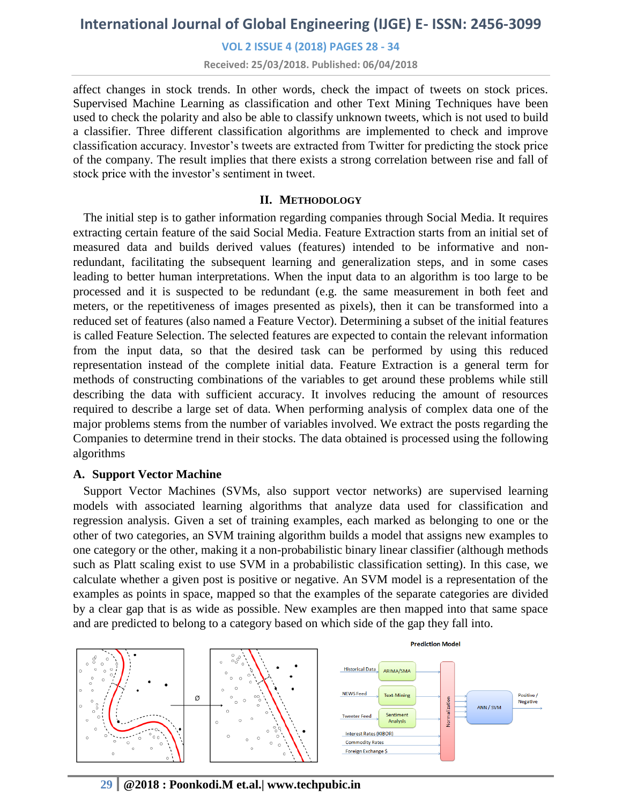#### **VOL 2 ISSUE 4 (2018) PAGES 28 - 34**

**Received: 25/03/2018. Published: 06/04/2018**

affect changes in stock trends. In other words, check the impact of tweets on stock prices. Supervised Machine Learning as classification and other Text Mining Techniques have been used to check the polarity and also be able to classify unknown tweets, which is not used to build a classifier. Three different classification algorithms are implemented to check and improve classification accuracy. Investor's tweets are extracted from Twitter for predicting the stock price of the company. The result implies that there exists a strong correlation between rise and fall of stock price with the investor's sentiment in tweet.

#### **II. METHODOLOGY**

The initial step is to gather information regarding companies through Social Media. It requires extracting certain feature of the said Social Media. Feature Extraction starts from an initial set of measured data and builds derived values (features) intended to be informative and nonredundant, facilitating the subsequent learning and generalization steps, and in some cases leading to better human interpretations. When the input data to an algorithm is too large to be processed and it is suspected to be redundant (e.g. the same measurement in both feet and meters, or the repetitiveness of images presented as pixels), then it can be transformed into a reduced set of features (also named a Feature Vector). Determining a subset of the initial features is called Feature Selection. The selected features are expected to contain the relevant information from the input data, so that the desired task can be performed by using this reduced representation instead of the complete initial data. Feature Extraction is a general term for methods of constructing combinations of the variables to get around these problems while still describing the data with sufficient accuracy. It involves reducing the amount of resources required to describe a large set of data. When performing analysis of complex data one of the major problems stems from the number of variables involved. We extract the posts regarding the Companies to determine trend in their stocks. The data obtained is processed using the following algorithms

#### **A. Support Vector Machine**

Support Vector Machines (SVMs, also support vector networks) are supervised learning models with associated learning algorithms that analyze data used for classification and regression analysis. Given a set of training examples, each marked as belonging to one or the other of two categories, an SVM training algorithm builds a model that assigns new examples to one category or the other, making it a non-probabilistic binary linear classifier (although methods such as Platt scaling exist to use SVM in a probabilistic classification setting). In this case, we calculate whether a given post is positive or negative. An SVM model is a representation of the examples as points in space, mapped so that the examples of the separate categories are divided by a clear gap that is as wide as possible. New examples are then mapped into that same space and are predicted to belong to a category based on which side of the gap they fall into.



# **29 @2018 : Poonkodi.M et.al.| www.techpubic.in**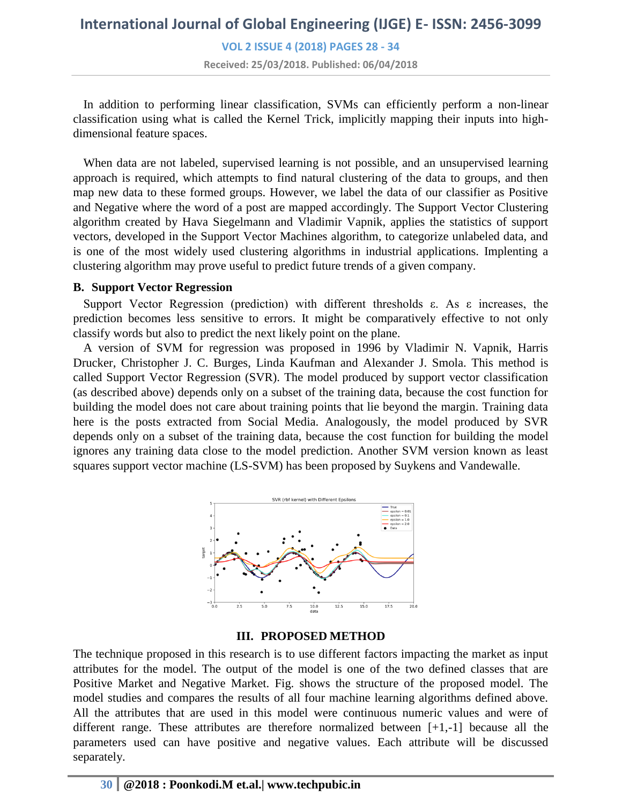**VOL 2 ISSUE 4 (2018) PAGES 28 - 34**

**Received: 25/03/2018. Published: 06/04/2018**

In addition to performing linear classification, SVMs can efficiently perform a non-linear classification using what is called the Kernel Trick, implicitly mapping their inputs into highdimensional feature spaces.

When data are not labeled, supervised learning is not possible, and an unsupervised learning approach is required, which attempts to find natural clustering of the data to groups, and then map new data to these formed groups. However, we label the data of our classifier as Positive and Negative where the word of a post are mapped accordingly. The Support Vector Clustering algorithm created by Hava Siegelmann and Vladimir Vapnik, applies the statistics of support vectors, developed in the Support Vector Machines algorithm, to categorize unlabeled data, and is one of the most widely used clustering algorithms in industrial applications. Implenting a clustering algorithm may prove useful to predict future trends of a given company.

#### **B. Support Vector Regression**

Support Vector Regression (prediction) with different thresholds ε. As ε increases, the prediction becomes less sensitive to errors. It might be comparatively effective to not only classify words but also to predict the next likely point on the plane.

A version of SVM for regression was proposed in 1996 by Vladimir N. Vapnik, Harris Drucker, Christopher J. C. Burges, Linda Kaufman and Alexander J. Smola. This method is called Support Vector Regression (SVR). The model produced by support vector classification (as described above) depends only on a subset of the training data, because the cost function for building the model does not care about training points that lie beyond the margin. Training data here is the posts extracted from Social Media. Analogously, the model produced by SVR depends only on a subset of the training data, because the cost function for building the model ignores any training data close to the model prediction. Another SVM version known as least squares support vector machine (LS-SVM) has been proposed by Suykens and Vandewalle.



### **III. PROPOSED METHOD**

The technique proposed in this research is to use different factors impacting the market as input attributes for the model. The output of the model is one of the two defined classes that are Positive Market and Negative Market. Fig. shows the structure of the proposed model. The model studies and compares the results of all four machine learning algorithms defined above. All the attributes that are used in this model were continuous numeric values and were of different range. These attributes are therefore normalized between [+1,-1] because all the parameters used can have positive and negative values. Each attribute will be discussed separately.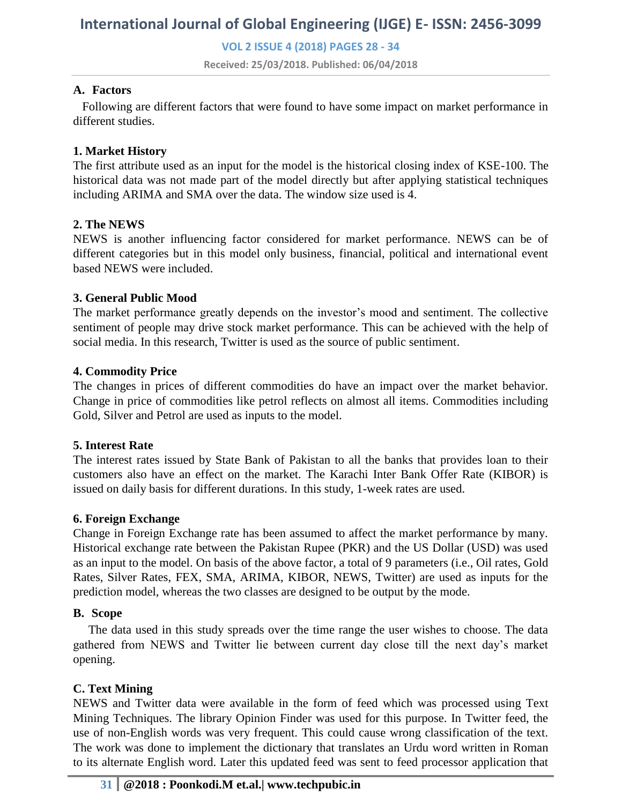**VOL 2 ISSUE 4 (2018) PAGES 28 - 34**

**Received: 25/03/2018. Published: 06/04/2018**

### **A. Factors**

 Following are different factors that were found to have some impact on market performance in different studies.

# **1. Market History**

The first attribute used as an input for the model is the historical closing index of KSE-100. The historical data was not made part of the model directly but after applying statistical techniques including ARIMA and SMA over the data. The window size used is 4.

### **2. The NEWS**

NEWS is another influencing factor considered for market performance. NEWS can be of different categories but in this model only business, financial, political and international event based NEWS were included.

# **3. General Public Mood**

The market performance greatly depends on the investor's mood and sentiment. The collective sentiment of people may drive stock market performance. This can be achieved with the help of social media. In this research, Twitter is used as the source of public sentiment.

# **4. Commodity Price**

The changes in prices of different commodities do have an impact over the market behavior. Change in price of commodities like petrol reflects on almost all items. Commodities including Gold, Silver and Petrol are used as inputs to the model.

### **5. Interest Rate**

The interest rates issued by State Bank of Pakistan to all the banks that provides loan to their customers also have an effect on the market. The Karachi Inter Bank Offer Rate (KIBOR) is issued on daily basis for different durations. In this study, 1-week rates are used.

### **6. Foreign Exchange**

Change in Foreign Exchange rate has been assumed to affect the market performance by many. Historical exchange rate between the Pakistan Rupee (PKR) and the US Dollar (USD) was used as an input to the model. On basis of the above factor, a total of 9 parameters (i.e., Oil rates, Gold Rates, Silver Rates, FEX, SMA, ARIMA, KIBOR, NEWS, Twitter) are used as inputs for the prediction model, whereas the two classes are designed to be output by the mode.

### **B. Scope**

 The data used in this study spreads over the time range the user wishes to choose. The data gathered from NEWS and Twitter lie between current day close till the next day's market opening.

# **C. Text Mining**

NEWS and Twitter data were available in the form of feed which was processed using Text Mining Techniques. The library Opinion Finder was used for this purpose. In Twitter feed, the use of non-English words was very frequent. This could cause wrong classification of the text. The work was done to implement the dictionary that translates an Urdu word written in Roman to its alternate English word. Later this updated feed was sent to feed processor application that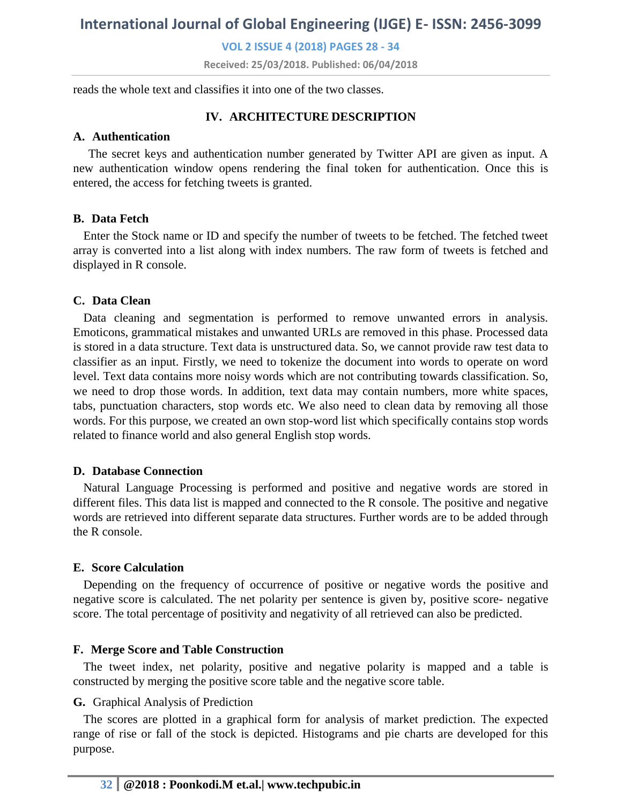**VOL 2 ISSUE 4 (2018) PAGES 28 - 34**

**Received: 25/03/2018. Published: 06/04/2018**

reads the whole text and classifies it into one of the two classes.

# **IV. ARCHITECTURE DESCRIPTION**

# **A. Authentication**

 The secret keys and authentication number generated by Twitter API are given as input. A new authentication window opens rendering the final token for authentication. Once this is entered, the access for fetching tweets is granted.

# **B. Data Fetch**

Enter the Stock name or ID and specify the number of tweets to be fetched. The fetched tweet array is converted into a list along with index numbers. The raw form of tweets is fetched and displayed in R console.

# **C. Data Clean**

Data cleaning and segmentation is performed to remove unwanted errors in analysis. Emoticons, grammatical mistakes and unwanted URLs are removed in this phase. Processed data is stored in a data structure. Text data is unstructured data. So, we cannot provide raw test data to classifier as an input. Firstly, we need to tokenize the document into words to operate on word level. Text data contains more noisy words which are not contributing towards classification. So, we need to drop those words. In addition, text data may contain numbers, more white spaces, tabs, punctuation characters, stop words etc. We also need to clean data by removing all those words. For this purpose, we created an own stop-word list which specifically contains stop words related to finance world and also general English stop words.

### **D. Database Connection**

Natural Language Processing is performed and positive and negative words are stored in different files. This data list is mapped and connected to the R console. The positive and negative words are retrieved into different separate data structures. Further words are to be added through the R console.

# **E. Score Calculation**

Depending on the frequency of occurrence of positive or negative words the positive and negative score is calculated. The net polarity per sentence is given by, positive score- negative score. The total percentage of positivity and negativity of all retrieved can also be predicted.

# **F. Merge Score and Table Construction**

The tweet index, net polarity, positive and negative polarity is mapped and a table is constructed by merging the positive score table and the negative score table.

### **G.** Graphical Analysis of Prediction

The scores are plotted in a graphical form for analysis of market prediction. The expected range of rise or fall of the stock is depicted. Histograms and pie charts are developed for this purpose.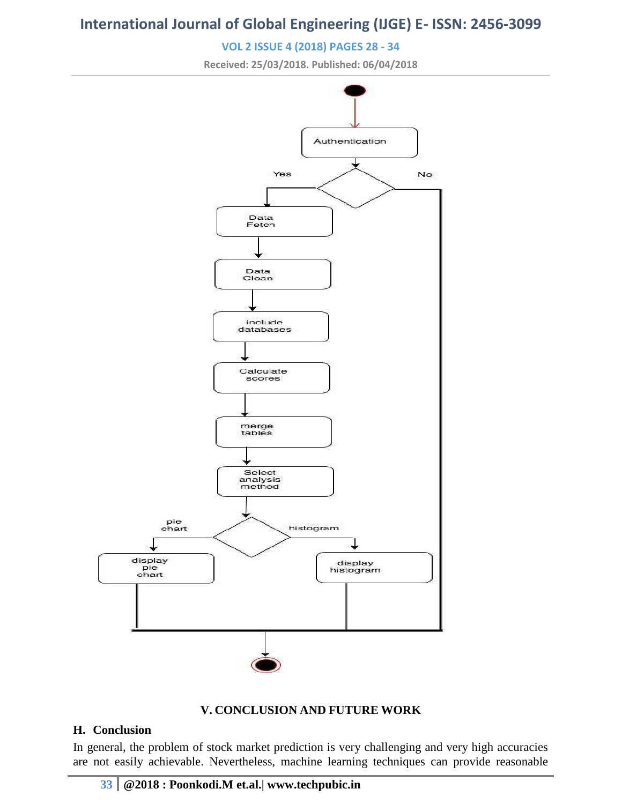# **VOL 2 ISSUE 4 (2018) PAGES 28 - 34**

**Received: 25/03/2018. Published: 06/04/2018**





### **H. Conclusion**

In general, the problem of stock market prediction is very challenging and very high accuracies are not easily achievable. Nevertheless, machine learning techniques can provide reasonable